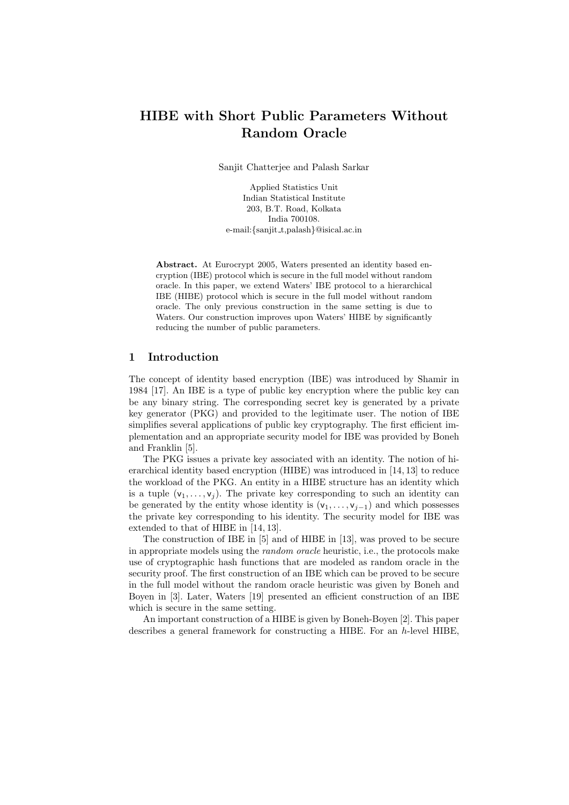# HIBE with Short Public Parameters Without Random Oracle

Sanjit Chatterjee and Palash Sarkar

Applied Statistics Unit Indian Statistical Institute 203, B.T. Road, Kolkata India 700108. e-mail: {sanjit\_t,palash}@isical.ac.in

Abstract. At Eurocrypt 2005, Waters presented an identity based encryption (IBE) protocol which is secure in the full model without random oracle. In this paper, we extend Waters' IBE protocol to a hierarchical IBE (HIBE) protocol which is secure in the full model without random oracle. The only previous construction in the same setting is due to Waters. Our construction improves upon Waters' HIBE by significantly reducing the number of public parameters.

# 1 Introduction

The concept of identity based encryption (IBE) was introduced by Shamir in 1984 [17]. An IBE is a type of public key encryption where the public key can be any binary string. The corresponding secret key is generated by a private key generator (PKG) and provided to the legitimate user. The notion of IBE simplifies several applications of public key cryptography. The first efficient implementation and an appropriate security model for IBE was provided by Boneh and Franklin [5].

The PKG issues a private key associated with an identity. The notion of hierarchical identity based encryption (HIBE) was introduced in [14, 13] to reduce the workload of the PKG. An entity in a HIBE structure has an identity which is a tuple  $(v_1, \ldots, v_j)$ . The private key corresponding to such an identity can be generated by the entity whose identity is  $(v_1, \ldots, v_{i-1})$  and which possesses the private key corresponding to his identity. The security model for IBE was extended to that of HIBE in [14, 13].

The construction of IBE in [5] and of HIBE in [13], was proved to be secure in appropriate models using the random oracle heuristic, i.e., the protocols make use of cryptographic hash functions that are modeled as random oracle in the security proof. The first construction of an IBE which can be proved to be secure in the full model without the random oracle heuristic was given by Boneh and Boyen in [3]. Later, Waters [19] presented an efficient construction of an IBE which is secure in the same setting.

An important construction of a HIBE is given by Boneh-Boyen [2]. This paper describes a general framework for constructing a HIBE. For an h-level HIBE,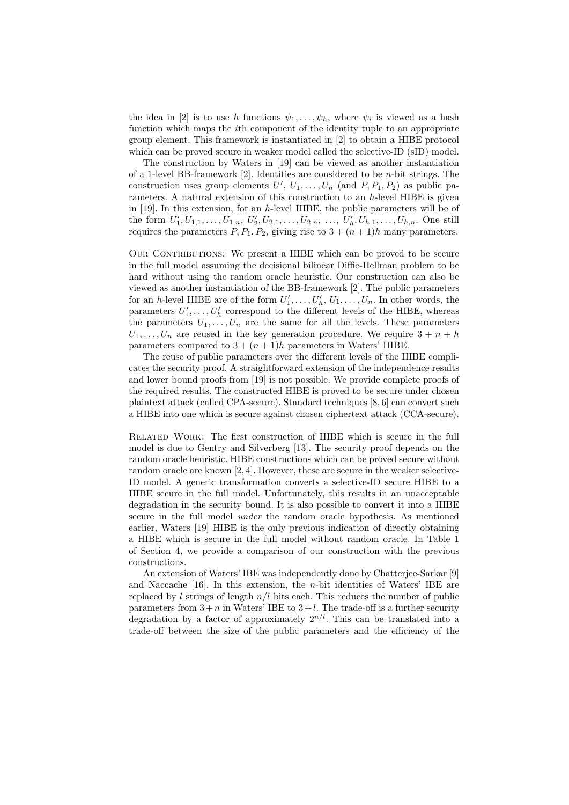the idea in [2] is to use h functions  $\psi_1, \ldots, \psi_h$ , where  $\psi_i$  is viewed as a hash function which maps the *i*th component of the identity tuple to an appropriate group element. This framework is instantiated in [2] to obtain a HIBE protocol which can be proved secure in weaker model called the selective-ID (sID) model.

The construction by Waters in [19] can be viewed as another instantiation of a 1-level BB-framework  $[2]$ . Identities are considered to be *n*-bit strings. The construction uses group elements  $U', U_1, \ldots, U_n$  (and  $P, P_1, P_2$ ) as public parameters. A natural extension of this construction to an  $h$ -level HIBE is given in [19]. In this extension, for an h-level HIBE, the public parameters will be of the form  $U'_1, U_{1,1}, \ldots, U_{1,n}, U'_2, U_{2,1}, \ldots, U_{2,n}, \ldots, U'_h, U_{h,1}, \ldots, U_{h,n}$ . One still requires the parameters  $P, P_1, P_2$ , giving rise to  $3 + (n + 1)h$  many parameters.

OUR CONTRIBUTIONS: We present a HIBE which can be proved to be secure in the full model assuming the decisional bilinear Diffie-Hellman problem to be hard without using the random oracle heuristic. Our construction can also be viewed as another instantiation of the BB-framework [2]. The public parameters for an h-level HIBE are of the form  $U'_1, \ldots, U'_h, U_1, \ldots, U_n$ . In other words, the parameters  $U'_1, \ldots, U'_h$  correspond to the different levels of the HIBE, whereas the parameters  $U_1, \ldots, U_n$  are the same for all the levels. These parameters  $U_1, \ldots, U_n$  are reused in the key generation procedure. We require  $3 + n + h$ parameters compared to  $3 + (n + 1)h$  parameters in Waters' HIBE.

The reuse of public parameters over the different levels of the HIBE complicates the security proof. A straightforward extension of the independence results and lower bound proofs from [19] is not possible. We provide complete proofs of the required results. The constructed HIBE is proved to be secure under chosen plaintext attack (called CPA-secure). Standard techniques [8, 6] can convert such a HIBE into one which is secure against chosen ciphertext attack (CCA-secure).

Related Work: The first construction of HIBE which is secure in the full model is due to Gentry and Silverberg [13]. The security proof depends on the random oracle heuristic. HIBE constructions which can be proved secure without random oracle are known [2, 4]. However, these are secure in the weaker selective-ID model. A generic transformation converts a selective-ID secure HIBE to a HIBE secure in the full model. Unfortunately, this results in an unacceptable degradation in the security bound. It is also possible to convert it into a HIBE secure in the full model *under* the random oracle hypothesis. As mentioned earlier, Waters [19] HIBE is the only previous indication of directly obtaining a HIBE which is secure in the full model without random oracle. In Table 1 of Section 4, we provide a comparison of our construction with the previous constructions.

An extension of Waters' IBE was independently done by Chatterjee-Sarkar [9] and Naccache  $[16]$ . In this extension, the *n*-bit identities of Waters' IBE are replaced by l strings of length  $n/l$  bits each. This reduces the number of public parameters from  $3+n$  in Waters' IBE to  $3+l$ . The trade-off is a further security degradation by a factor of approximately  $2^{n/l}$ . This can be translated into a trade-off between the size of the public parameters and the efficiency of the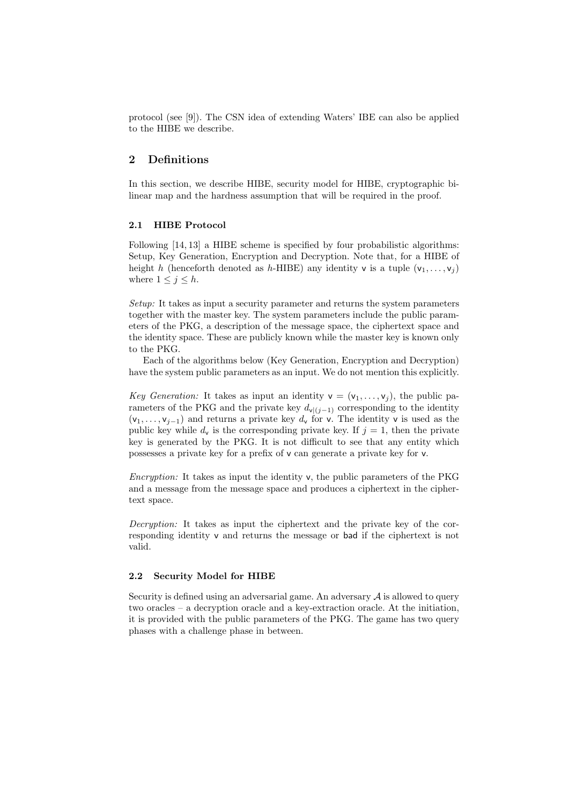protocol (see [9]). The CSN idea of extending Waters' IBE can also be applied to the HIBE we describe.

# 2 Definitions

In this section, we describe HIBE, security model for HIBE, cryptographic bilinear map and the hardness assumption that will be required in the proof.

#### 2.1 HIBE Protocol

Following [14, 13] a HIBE scheme is specified by four probabilistic algorithms: Setup, Key Generation, Encryption and Decryption. Note that, for a HIBE of height h (henceforth denoted as h-HIBE) any identity v is a tuple  $(v_1, \ldots, v_i)$ where  $1 \leq j \leq h$ .

Setup: It takes as input a security parameter and returns the system parameters together with the master key. The system parameters include the public parameters of the PKG, a description of the message space, the ciphertext space and the identity space. These are publicly known while the master key is known only to the PKG.

Each of the algorithms below (Key Generation, Encryption and Decryption) have the system public parameters as an input. We do not mention this explicitly.

Key Generation: It takes as input an identity  $v = (v_1, \ldots, v_j)$ , the public parameters of the PKG and the private key  $d_{\mathbf{v}|(j-1)}$  corresponding to the identity  $(v_1, \ldots, v_{i-1})$  and returns a private key  $d_v$  for v. The identity v is used as the public key while  $d_v$  is the corresponding private key. If  $j = 1$ , then the private key is generated by the PKG. It is not difficult to see that any entity which possesses a private key for a prefix of v can generate a private key for v.

Encryption: It takes as input the identity v, the public parameters of the PKG and a message from the message space and produces a ciphertext in the ciphertext space.

Decryption: It takes as input the ciphertext and the private key of the corresponding identity v and returns the message or bad if the ciphertext is not valid.

#### 2.2 Security Model for HIBE

Security is defined using an adversarial game. An adversary  $A$  is allowed to query two oracles – a decryption oracle and a key-extraction oracle. At the initiation, it is provided with the public parameters of the PKG. The game has two query phases with a challenge phase in between.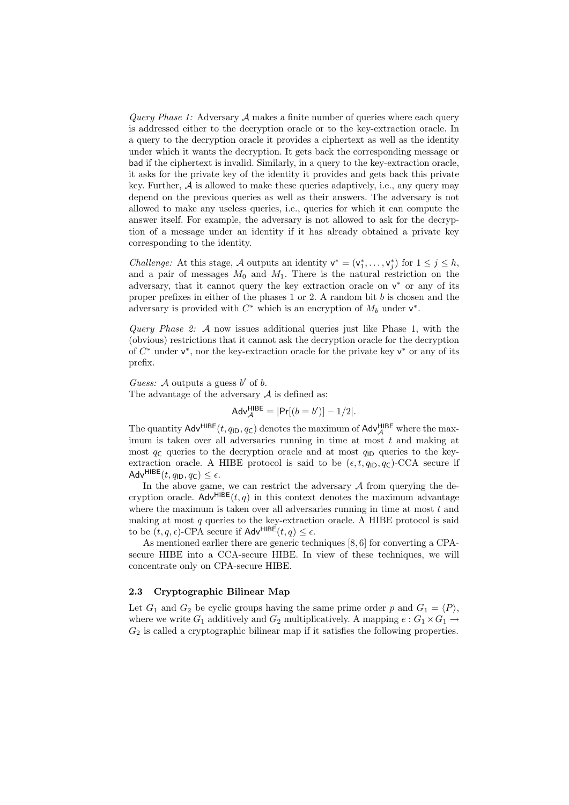*Query Phase 1:* Adversary  $A$  makes a finite number of queries where each query is addressed either to the decryption oracle or to the key-extraction oracle. In a query to the decryption oracle it provides a ciphertext as well as the identity under which it wants the decryption. It gets back the corresponding message or bad if the ciphertext is invalid. Similarly, in a query to the key-extraction oracle, it asks for the private key of the identity it provides and gets back this private key. Further,  $A$  is allowed to make these queries adaptively, i.e., any query may depend on the previous queries as well as their answers. The adversary is not allowed to make any useless queries, i.e., queries for which it can compute the answer itself. For example, the adversary is not allowed to ask for the decryption of a message under an identity if it has already obtained a private key corresponding to the identity.

*Challenge:* At this stage, A outputs an identity  $v^* = (v_1^*, \ldots, v_j^*)$  for  $1 \leq j \leq h$ , and a pair of messages  $M_0$  and  $M_1$ . There is the natural restriction on the adversary, that it cannot query the key extraction oracle on  $v^*$  or any of its proper prefixes in either of the phases 1 or 2. A random bit  $b$  is chosen and the adversary is provided with  $C^*$  which is an encryption of  $M_b$  under  $v^*$ .

Query Phase 2:  $A$  now issues additional queries just like Phase 1, with the (obvious) restrictions that it cannot ask the decryption oracle for the decryption of  $C^*$  under  $v^*$ , nor the key-extraction oracle for the private key  $v^*$  or any of its prefix.

Guess: A outputs a guess  $b'$  of  $b$ . The advantage of the adversary  $A$  is defined as:

$$
Adv_{\mathcal{A}}^{\mathsf{HIBE}} = |\mathsf{Pr}[(b = b')] - 1/2|.
$$

The quantity  $\mathsf{Adv}^{\mathsf{HIBE}}(t, q_{\mathsf{ID}}, q_{\mathsf{C}})$  denotes the maximum of  $\mathsf{Adv}_{\mathcal{A}}^{\mathsf{HIBE}}$  where the maximum is taken over all adversaries running in time at most  $t$  and making at most  $q_c$  queries to the decryption oracle and at most  $q_{\text{ID}}$  queries to the keyextraction oracle. A HIBE protocol is said to be  $(\epsilon, t, q_{\text{ID}}, q_{\text{C}})$ -CCA secure if Adv<sup>HIBE</sup> $(t, q_{\text{ID}}, q_{\text{C}}) \leq \epsilon$ .

In the above game, we can restrict the adversary  $A$  from querying the decryption oracle.  $\mathsf{Adv}^{\mathsf{HIBE}}(t,q)$  in this context denotes the maximum advantage where the maximum is taken over all adversaries running in time at most  $t$  and making at most  $q$  queries to the key-extraction oracle. A HIBE protocol is said to be  $(t, q, \epsilon)$ -CPA secure if Adv<sup>HIBE</sup> $(t, q) \leq \epsilon$ .

As mentioned earlier there are generic techniques [8, 6] for converting a CPAsecure HIBE into a CCA-secure HIBE. In view of these techniques, we will concentrate only on CPA-secure HIBE.

### 2.3 Cryptographic Bilinear Map

Let  $G_1$  and  $G_2$  be cyclic groups having the same prime order p and  $G_1 = \langle P \rangle$ , where we write  $G_1$  additively and  $G_2$  multiplicatively. A mapping  $e: G_1 \times G_1 \rightarrow$  $G_2$  is called a cryptographic bilinear map if it satisfies the following properties.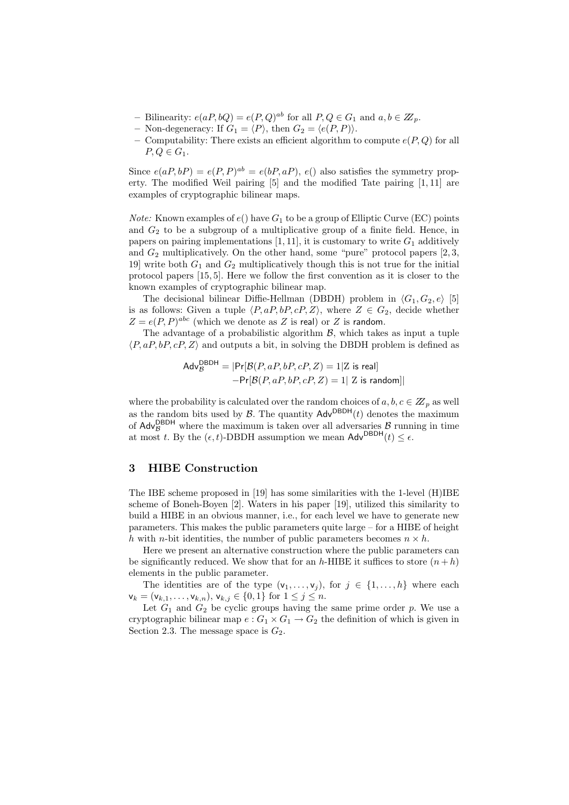- Bilinearity:  $e(aP, bQ) = e(P, Q)^{ab}$  for all  $P, Q \in G_1$  and  $a, b \in \mathbb{Z}_p$ .
- Non-degeneracy: If  $G_1 = \langle P \rangle$ , then  $G_2 = \langle e(P, P) \rangle$ .
- Computability: There exists an efficient algorithm to compute  $e(P,Q)$  for all  $P, Q \in G_1$ .

Since  $e(aP,bP) = e(P,P)^{ab} = e(bP,aP), e()$  also satisfies the symmetry property. The modified Weil pairing [5] and the modified Tate pairing [1, 11] are examples of cryptographic bilinear maps.

*Note:* Known examples of  $e()$  have  $G_1$  to be a group of Elliptic Curve (EC) points and  $G_2$  to be a subgroup of a multiplicative group of a finite field. Hence, in papers on pairing implementations  $[1, 11]$ , it is customary to write  $G_1$  additively and  $G_2$  multiplicatively. On the other hand, some "pure" protocol papers  $[2, 3, 1]$ 19] write both  $G_1$  and  $G_2$  multiplicatively though this is not true for the initial protocol papers [15, 5]. Here we follow the first convention as it is closer to the known examples of cryptographic bilinear map.

The decisional bilinear Diffie-Hellman (DBDH) problem in  $\langle G_1, G_2, e \rangle$  [5] is as follows: Given a tuple  $\langle P, aP, bP, cP, Z \rangle$ , where  $Z \in G_2$ , decide whether  $Z = e(P, P)^{abc}$  (which we denote as Z is real) or Z is random.

The advantage of a probabilistic algorithm  $\beta$ , which takes as input a tuple  $\langle P, aP, bP, cP, Z \rangle$  and outputs a bit, in solving the DBDH problem is defined as

$$
Adv_{\mathcal{B}}^{\text{DBDH}} = |Pr[\mathcal{B}(P, aP, bP, cP, Z) = 1|Z \text{ is real}]
$$

$$
-Pr[\mathcal{B}(P, aP, bP, cP, Z) = 1| Z \text{ is random}]
$$

where the probability is calculated over the random choices of  $a, b, c \in \mathbb{Z}_p$  as well as the random bits used by  $\beta$ . The quantity  $\mathsf{Adv}^{\mathsf{DBDH}}(t)$  denotes the maximum of  $\mathsf{Adv}_{\mathcal{B}}^{\mathsf{DBDH}}$  where the maximum is taken over all adversaries  $\mathcal{B}$  running in time at most t. By the  $(\epsilon, t)$ -DBDH assumption we mean  $\mathsf{Adv}^{\mathsf{DBDH}}(t) < \epsilon$ .

# 3 HIBE Construction

The IBE scheme proposed in [19] has some similarities with the 1-level (H)IBE scheme of Boneh-Boyen [2]. Waters in his paper [19], utilized this similarity to build a HIBE in an obvious manner, i.e., for each level we have to generate new parameters. This makes the public parameters quite large – for a HIBE of height h with n-bit identities, the number of public parameters becomes  $n \times h$ .

Here we present an alternative construction where the public parameters can be significantly reduced. We show that for an h-HIBE it suffices to store  $(n+h)$ elements in the public parameter.

The identities are of the type  $(v_1, \ldots, v_j)$ , for  $j \in \{1, \ldots, h\}$  where each  $\mathsf{v}_k = (\mathsf{v}_{k,1}, \ldots, \mathsf{v}_{k,n}), \mathsf{v}_{k,j} \in \{0,1\}$  for  $1 \leq j \leq n$ .

Let  $G_1$  and  $G_2$  be cyclic groups having the same prime order p. We use a cryptographic bilinear map  $e: G_1 \times G_1 \to G_2$  the definition of which is given in Section 2.3. The message space is  $G_2$ .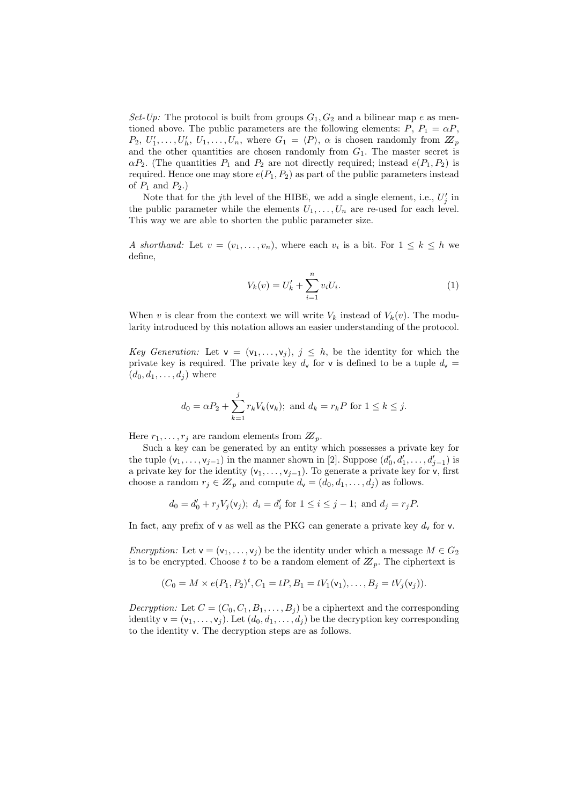Set-Up: The protocol is built from groups  $G_1, G_2$  and a bilinear map e as mentioned above. The public parameters are the following elements:  $P, P_1 = \alpha P$ ,  $P_2, U'_1, \ldots, U'_h, U_1, \ldots, U_n$ , where  $G_1 = \langle P \rangle$ ,  $\alpha$  is chosen randomly from  $\mathbb{Z}_p$ and the other quantities are chosen randomly from  $G_1$ . The master secret is  $\alpha P_2$ . (The quantities  $P_1$  and  $P_2$  are not directly required; instead  $e(P_1, P_2)$  is required. Hence one may store  $e(P_1, P_2)$  as part of the public parameters instead of  $P_1$  and  $P_2$ .)

Note that for the j<sup>th</sup> level of the HIBE, we add a single element, i.e.,  $U'_j$  in the public parameter while the elements  $U_1, \ldots, U_n$  are re-used for each level. This way we are able to shorten the public parameter size.

A shorthand: Let  $v = (v_1, \ldots, v_n)$ , where each  $v_i$  is a bit. For  $1 \leq k \leq h$  we define,

$$
V_k(v) = U'_k + \sum_{i=1}^n v_i U_i.
$$
 (1)

When v is clear from the context we will write  $V_k$  instead of  $V_k(v)$ . The modularity introduced by this notation allows an easier understanding of the protocol.

Key Generation: Let  $\mathsf{v} = (\mathsf{v}_1, \ldots, \mathsf{v}_i), j \leq h$ , be the identity for which the private key is required. The private key  $d_v$  for v is defined to be a tuple  $d_v$  =  $(d_0, d_1, \ldots, d_j)$  where

$$
d_0 = \alpha P_2 + \sum_{k=1}^{j} r_k V_k(\mathsf{v}_k)
$$
; and  $d_k = r_k P$  for  $1 \le k \le j$ .

Here  $r_1, \ldots, r_j$  are random elements from  $\mathbb{Z}_p$ .

Such a key can be generated by an entity which possesses a private key for the tuple  $(v_1, \ldots, v_{j-1})$  in the manner shown in [2]. Suppose  $(d'_0, d'_1, \ldots, d'_{j-1})$  is a private key for the identity  $(v_1, \ldots, v_{i-1})$ . To generate a private key for v, first choose a random  $r_j \in \mathbb{Z}_p$  and compute  $d_{\mathsf{v}} = (d_0, d_1, \ldots, d_j)$  as follows.

$$
d_0 = d'_0 + r_j V_j(v_j); d_i = d'_i \text{ for } 1 \le i \le j-1; \text{ and } d_j = r_j P.
$$

In fact, any prefix of v as well as the PKG can generate a private key  $d_v$  for v.

Encryption: Let  $\mathsf{v} = (\mathsf{v}_1, \ldots, \mathsf{v}_i)$  be the identity under which a message  $M \in G_2$ is to be encrypted. Choose t to be a random element of  $\mathbb{Z}_p$ . The ciphertext is

$$
(C_0 = M \times e(P_1, P_2)^t, C_1 = tP, B_1 = tV_1(\mathsf{v}_1), \dots, B_j = tV_j(\mathsf{v}_j)).
$$

*Decryption:* Let  $C = (C_0, C_1, B_1, \ldots, B_i)$  be a ciphertext and the corresponding identity  $\mathbf{v} = (\mathbf{v}_1, \dots, \mathbf{v}_j)$ . Let  $(d_0, d_1, \dots, d_j)$  be the decryption key corresponding to the identity v. The decryption steps are as follows.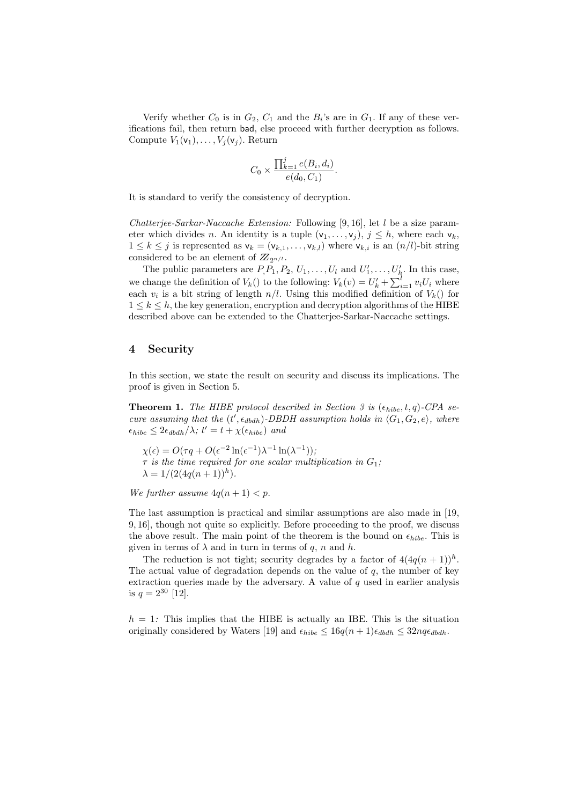Verify whether  $C_0$  is in  $G_2$ ,  $C_1$  and the  $B_i$ 's are in  $G_1$ . If any of these verifications fail, then return bad, else proceed with further decryption as follows. Compute  $V_1(\mathsf{v}_1), \ldots, V_j(\mathsf{v}_j)$ . Return

$$
C_0 \times \frac{\prod_{k=1}^{j} e(B_i, d_i)}{e(d_0, C_1)}.
$$

It is standard to verify the consistency of decryption.

Chatteriee-Sarkar-Naccache Extension: Following [9, 16], let  $l$  be a size parameter which divides n. An identity is a tuple  $(v_1, \ldots, v_j)$ ,  $j \leq h$ , where each  $v_k$ ,  $1 \leq k \leq j$  is represented as  $\mathsf{v}_k = (\mathsf{v}_{k,1}, \ldots, \mathsf{v}_{k,l})$  where  $\mathsf{v}_{k,i}$  is an  $(n/l)$ -bit string considered to be an element of  $\mathbb{Z}_{2n/l}$ .

The public parameters are  $P_1P_1, P_2, U_1, \ldots, U_l$  and  $U'_1, \ldots, U'_h$ . In this case, we change the definition of  $V_k()$  to the following:  $V_k(v) = U'_k + \sum_{i=1}^l v_i U_i$  where each  $v_i$  is a bit string of length  $n/l$ . Using this modified definition of  $V_k()$  for  $1 \leq k \leq h$ , the key generation, encryption and decryption algorithms of the HIBE described above can be extended to the Chatterjee-Sarkar-Naccache settings.

## 4 Security

In this section, we state the result on security and discuss its implications. The proof is given in Section 5.

**Theorem 1.** The HIBE protocol described in Section 3 is  $(\epsilon_{hibe}, t, q)$ -CPA secure assuming that the  $(t', \epsilon_{dbdh})$ -DBDH assumption holds in  $\langle G_1, G_2, e \rangle$ , where  $\epsilon_{hibe} \leq 2\epsilon_{dbdh}/\lambda$ ;  $t' = t + \chi(\epsilon_{hibe})$  and

 $\chi(\epsilon) = O(\tau q + O(\epsilon^{-2} \ln(\epsilon^{-1}) \lambda^{-1} \ln(\lambda^{-1}))),$  $\tau$  is the time required for one scalar multiplication in  $G_1$ ;  $\lambda = 1/(2(4q(n+1))^h).$ 

We further assume  $4q(n + 1) < p$ .

The last assumption is practical and similar assumptions are also made in [19, 9, 16], though not quite so explicitly. Before proceeding to the proof, we discuss the above result. The main point of the theorem is the bound on  $\epsilon_{hibe}$ . This is given in terms of  $\lambda$  and in turn in terms of q, n and h.

The reduction is not tight; security degrades by a factor of  $4(4q(n+1))^h$ . The actual value of degradation depends on the value of  $q$ , the number of key extraction queries made by the adversary. A value of  $q$  used in earlier analysis is  $q = 2^{30}$  [12].

 $h = 1$ : This implies that the HIBE is actually an IBE. This is the situation originally considered by Waters [19] and  $\epsilon_{hibe} \leq 16q(n+1)\epsilon_{dbdh} \leq 32nq\epsilon_{dbdh}$ .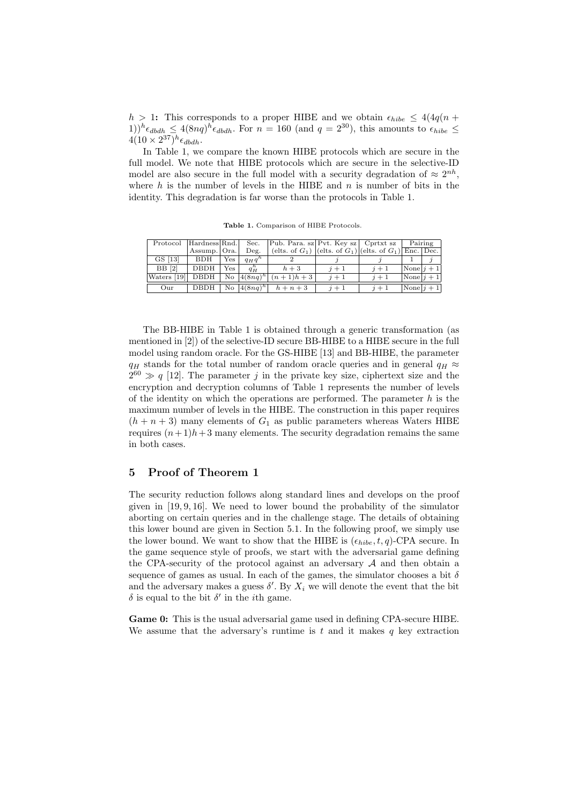$h > 1$ : This corresponds to a proper HIBE and we obtain  $\epsilon_{hibe} \leq 4(4q(n +$  $(1))^h \epsilon_{dbdh} \leq 4(8nq)^h \epsilon_{dbdh}$ . For  $n = 160$  (and  $q = 2^{30}$ ), this amounts to  $\epsilon_{hibe} \leq$  $4(10 \times 2^{37})^h \epsilon_{dbdh}.$ 

In Table 1, we compare the known HIBE protocols which are secure in the full model. We note that HIBE protocols which are secure in the selective-ID model are also secure in the full model with a security degradation of  $\approx 2^{nh}$ , where h is the number of levels in the HIBE and  $n$  is number of bits in the identity. This degradation is far worse than the protocols in Table 1.

Protocol Hardness Rnd. Sec. Pub. Para. sz Pvt. Key sz Cprtxt sz Pairing Assump. Ora. Deg. (elts. of  $G_1$ ) (elts. of  $G_2$ ) Enc. Deg. Deg. (elts. of  $G_1$ ) (elts. of  $G_1$ ) (elts. of  $G_1$ ) Enc. Dec. GS [13] BDH Yes  $q_H q$ <br>BB [2] DBDH Yes  $q_H^h$ <sup>h</sup> 2 j j 1 j  $\overline{\rm DBDH}$  $q_H^n$  $\frac{h}{H}$   $h+3$   $j+1$   $j+1$   $\text{None}|j+1$ Waters  $[19]$  DBDH No  $4(8nq)$  $\begin{array}{c|c|c|c|c} h+3 & j+1 & j+1 & \text{None} \ j+1 \\ \hline (n+1)h+3 & j+1 & j+1 & \text{None} \ j+1 \end{array}$ Our DBDH No  $(4(8nq))$  $\boxed{h + n + 3}$   $\boxed{j + 1}$   $\boxed{j + 1}$   $\boxed{\text{None}|j + 1}$ 

Table 1. Comparison of HIBE Protocols.

The BB-HIBE in Table 1 is obtained through a generic transformation (as mentioned in [2]) of the selective-ID secure BB-HIBE to a HIBE secure in the full model using random oracle. For the GS-HIBE [13] and BB-HIBE, the parameter  $q_H$  stands for the total number of random oracle queries and in general  $q_H \approx$  $2^{60} \gg q$  [12]. The parameter j in the private key size, ciphertext size and the encryption and decryption columns of Table 1 represents the number of levels of the identity on which the operations are performed. The parameter  $h$  is the maximum number of levels in the HIBE. The construction in this paper requires  $(h + n + 3)$  many elements of  $G_1$  as public parameters whereas Waters HIBE requires  $(n+1)h+3$  many elements. The security degradation remains the same in both cases.

## 5 Proof of Theorem 1

The security reduction follows along standard lines and develops on the proof given in [19, 9, 16]. We need to lower bound the probability of the simulator aborting on certain queries and in the challenge stage. The details of obtaining this lower bound are given in Section 5.1. In the following proof, we simply use the lower bound. We want to show that the HIBE is  $(\epsilon_{hibe}, t, q)$ -CPA secure. In the game sequence style of proofs, we start with the adversarial game defining the CPA-security of the protocol against an adversary  $A$  and then obtain a sequence of games as usual. In each of the games, the simulator chooses a bit  $\delta$ and the adversary makes a guess  $\delta'$ . By  $X_i$  we will denote the event that the bit  $\delta$  is equal to the bit  $\delta'$  in the *i*th game.

Game 0: This is the usual adversarial game used in defining CPA-secure HIBE. We assume that the adversary's runtime is t and it makes q key extraction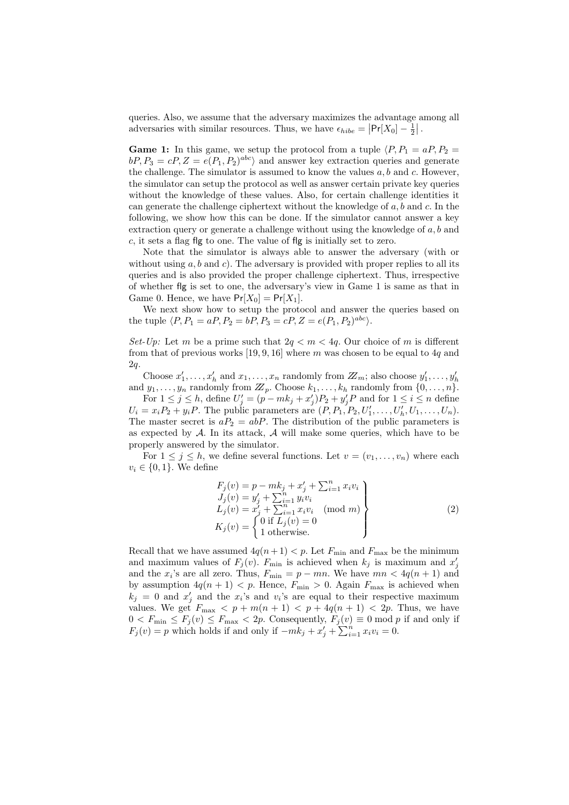queries. Also, we assume that the adversary maximizes the advantage among all adversaries with similar resources. Thus, we have  $\epsilon_{hibe} = |\Pr[X_0] - \frac{1}{2}|$ .

**Game 1:** In this game, we setup the protocol from a tuple  $\langle P, P_1 = aP, P_2 = aP, P_3 = aP, P_4 = aP, P_5 = aP, P_6 = aP, P_7 = aP, P_8 = aP, P_9 = aP, P_1 = aP, P_1 = aP, P_1 = aP, P_2 = aP, P_1 = aP, P_2 = aP, P_3 = aP, P_4 = aP, P_5 = aP, P_6 = aP, P_7 = aP, P_7 = aP, P_8 = aP, P_9$  $bP, P_3 = cP, Z = e(P_1, P_2)^{abc}$  and answer key extraction queries and generate the challenge. The simulator is assumed to know the values  $a, b$  and  $c$ . However, the simulator can setup the protocol as well as answer certain private key queries without the knowledge of these values. Also, for certain challenge identities it can generate the challenge ciphertext without the knowledge of  $a, b$  and  $c$ . In the following, we show how this can be done. If the simulator cannot answer a key extraction query or generate a challenge without using the knowledge of  $a, b$  and c, it sets a flag flg to one. The value of flg is initially set to zero.

Note that the simulator is always able to answer the adversary (with or without using  $a, b$  and  $c$ ). The adversary is provided with proper replies to all its queries and is also provided the proper challenge ciphertext. Thus, irrespective of whether flg is set to one, the adversary's view in Game 1 is same as that in Game 0. Hence, we have  $Pr[X_0] = Pr[X_1]$ .

We next show how to setup the protocol and answer the queries based on the tuple  $\langle P, P_1 = aP, P_2 = bP, P_3 = cP, Z = e(P_1, P_2)^{abc} \rangle.$ 

Set-Up: Let m be a prime such that  $2q < m < 4q$ . Our choice of m is different from that of previous works [19, 9, 16] where m was chosen to be equal to 4q and 2q.

Choose  $x'_1, \ldots, x'_h$  and  $x_1, \ldots, x_n$  randomly from  $Z_m$ ; also choose  $y'_1, \ldots, y'_h$ and  $y_1, \ldots, y_n$  randomly from  $\mathbb{Z}_p$ . Choose  $k_1, \ldots, k_h$  randomly from  $\{0, \ldots, n\}$ .

For  $1 \leq j \leq h$ , define  $U'_j = (p - mk_j + x'_j)P_2 + y'_jP$  and for  $1 \leq i \leq n$  define  $U_i = x_i P_2 + y_i P$ . The public parameters are  $(P, P_1, P_2, U'_1, \ldots, U'_h, U_1, \ldots, U_n)$ . The master secret is  $aP_2 = abP$ . The distribution of the public parameters is as expected by  $A$ . In its attack,  $A$  will make some queries, which have to be properly answered by the simulator.

For  $1 \leq j \leq h$ , we define several functions. Let  $v = (v_1, \ldots, v_n)$  where each  $v_i \in \{0, 1\}$ . We define

$$
F_j(v) = p - mk_j + x'_j + \sum_{i=1}^n x_i v_i
$$
  
\n
$$
J_j(v) = y'_j + \sum_{i=1}^n y_i v_i
$$
  
\n
$$
L_j(v) = x'_j + \sum_{i=1}^n x_i v_i \pmod{m}
$$
  
\n
$$
K_j(v) = \begin{cases} 0 \text{ if } L_j(v) = 0 \\ 1 \text{ otherwise.} \end{cases}
$$
\n(2)

Recall that we have assumed  $4q(n+1) < p$ . Let  $F_{\min}$  and  $F_{\max}$  be the minimum and maximum values of  $F_j(v)$ .  $F_{\min}$  is achieved when  $k_j$  is maximum and  $x'_j$ and the  $x_i$ 's are all zero. Thus,  $F_{\min} = p - mn$ . We have  $mn < 4q(n + 1)$  and by assumption  $4q(n + 1) < p$ . Hence,  $F_{\min} > 0$ . Again  $F_{\max}$  is achieved when  $k_j = 0$  and  $x'_j$  and the  $x_i$ 's and  $v_i$ 's are equal to their respective maximum values. We get  $F_{\text{max}} < p + m(n + 1) < p + 4q(n + 1) < 2p$ . Thus, we have  $0 < F_{\min} \leq F_j(v) \leq F_{\max} < 2p$ . Consequently,  $F_j(v) \equiv 0 \mod p$  if and only if  $F_j(v) = p$  which holds if and only if  $-mk_j + x'_j + \sum_{i=1}^n x_i v_i = 0$ .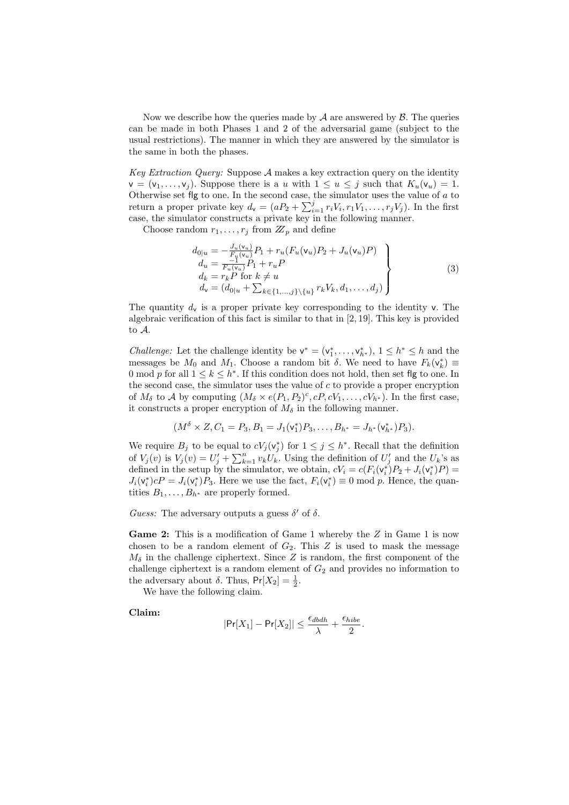Now we describe how the queries made by  $A$  are answered by  $B$ . The queries can be made in both Phases 1 and 2 of the adversarial game (subject to the usual restrictions). The manner in which they are answered by the simulator is the same in both the phases.

Key Extraction Query: Suppose  $A$  makes a key extraction query on the identity  $v = (v_1, \ldots, v_i)$ . Suppose there is a u with  $1 \le u \le j$  such that  $K_u(v_u) = 1$ . Otherwise set flg to one. In the second case, the simulator uses the value of  $a$  to return a proper private key  $d_{\mathsf{v}} = (aP_2 + \sum_{i=1}^j r_i V_i, r_1 V_1, \ldots, r_j V_j)$ . In the first case, the simulator constructs a private key in the following manner.

Choose random  $r_1, \ldots, r_j$  from  $\mathbb{Z}_p$  and define

$$
d_{0|u} = -\frac{J_u(\mathbf{v}_u)}{F_u(\mathbf{v}_u)} P_1 + r_u(F_u(\mathbf{v}_u) P_2 + J_u(\mathbf{v}_u) P) \nd_u = \frac{-1}{F_u(\mathbf{v}_u)} P_1 + r_u P \nd_k = r_k P \text{ for } k \neq u \nd_v = (d_{0|u} + \sum_{k \in \{1, ..., j\} \setminus \{u\}} r_k V_k, d_1, ..., d_j)
$$
\n(3)

The quantity  $d_v$  is a proper private key corresponding to the identity v. The algebraic verification of this fact is similar to that in  $[2, 19]$ . This key is provided to A.

*Challenge:* Let the challenge identity be  $v^* = (v_1^*, \ldots, v_{h^*}^*), 1 \leq h^* \leq h$  and the messages be  $M_0$  and  $M_1$ . Choose a random bit  $\delta$ . We need to have  $F_k(\mathsf{v}_k^*) \equiv$ 0 mod p for all  $1 \leq k \leq h^*$ . If this condition does not hold, then set flg to one. In the second case, the simulator uses the value of  $c$  to provide a proper encryption of  $M_{\delta}$  to A by computing  $(M_{\delta} \times e(P_1, P_2)^c, cP, cV_1, \ldots, cV_{h^*})$ . In the first case, it constructs a proper encryption of  $M_{\delta}$  in the following manner.

$$
(M^{\delta} \times Z, C_1 = P_3, B_1 = J_1(\mathsf{v}_1^*) P_3, \dots, B_{h^*} = J_{h^*}(\mathsf{v}_{h^*}^*) P_3).
$$

We require  $B_j$  to be equal to  $cV_j(v_j^*)$  for  $1 \leq j \leq h^*$ . Recall that the definition of  $V_j(v)$  is  $V_j(v) = U'_j + \sum_{k=1}^n v_k U_k$ . Using the definition of  $U'_j$  and the  $U_k$ 's as defined in the setup by the simulator, we obtain,  $cV_i = c(F_i(\mathbf{v}_i^*)P_2 + J_i(\mathbf{v}_i^*)P) =$  $J_i(\mathsf{v}_i^*)cP = J_i(\mathsf{v}_i^*)P_3$ . Here we use the fact,  $F_i(\mathsf{v}_i^*) \equiv 0 \mod p$ . Hence, the quantities  $B_1, \ldots, B_{h^*}$  are properly formed.

Guess: The adversary outputs a guess  $\delta'$  of  $\delta$ .

Game 2: This is a modification of Game 1 whereby the Z in Game 1 is now chosen to be a random element of  $G_2$ . This Z is used to mask the message  $M_{\delta}$  in the challenge ciphertext. Since Z is random, the first component of the challenge ciphertext is a random element of  $G_2$  and provides no information to the adversary about  $\delta$ . Thus,  $Pr[X_2] = \frac{1}{2}$ .

We have the following claim.

Claim:

$$
|\text{Pr}[X_1]-\text{Pr}[X_2]|\leq \frac{\epsilon_{dbdh}}{\lambda}+\frac{\epsilon_{hibe}}{2}.
$$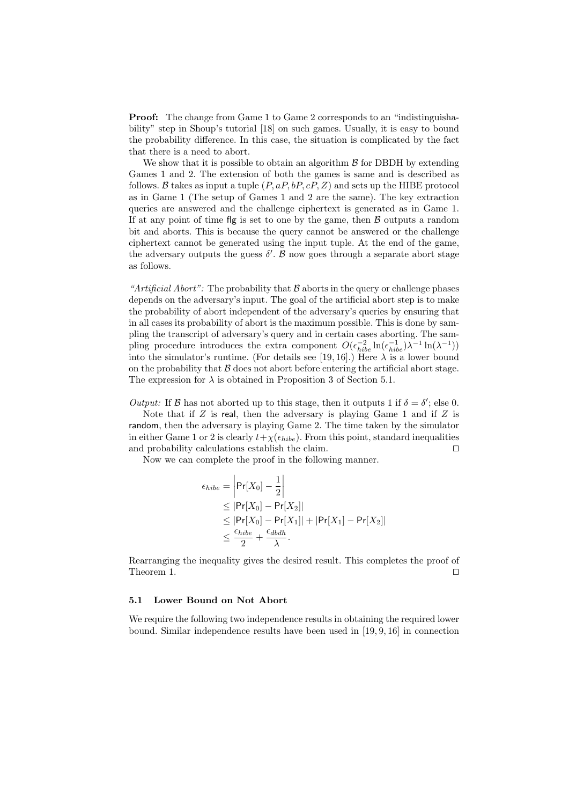Proof: The change from Game 1 to Game 2 corresponds to an "indistinguishability" step in Shoup's tutorial [18] on such games. Usually, it is easy to bound the probability difference. In this case, the situation is complicated by the fact that there is a need to abort.

We show that it is possible to obtain an algorithm  $\beta$  for DBDH by extending Games 1 and 2. The extension of both the games is same and is described as follows. B takes as input a tuple  $(P, aP, bP, cP, Z)$  and sets up the HIBE protocol as in Game 1 (The setup of Games 1 and 2 are the same). The key extraction queries are answered and the challenge ciphertext is generated as in Game 1. If at any point of time flg is set to one by the game, then  $\beta$  outputs a random bit and aborts. This is because the query cannot be answered or the challenge ciphertext cannot be generated using the input tuple. At the end of the game, the adversary outputs the guess  $\delta'$ .  $\beta$  now goes through a separate abort stage as follows.

"Artificial Abort": The probability that  $\beta$  aborts in the query or challenge phases depends on the adversary's input. The goal of the artificial abort step is to make the probability of abort independent of the adversary's queries by ensuring that in all cases its probability of abort is the maximum possible. This is done by sampling the transcript of adversary's query and in certain cases aborting. The sampling procedure introduces the extra component  $O(\epsilon_{hibe}^{-2} \ln(\epsilon_{hibe}^{-1})\lambda^{-1} \ln(\lambda^{-1}))$ into the simulator's runtime. (For details see [19, 16].) Here  $\lambda$  is a lower bound on the probability that  $\beta$  does not abort before entering the artificial abort stage. The expression for  $\lambda$  is obtained in Proposition 3 of Section 5.1.

Output: If  $\beta$  has not aborted up to this stage, then it outputs 1 if  $\delta = \delta'$ ; else 0.

Note that if  $Z$  is real, then the adversary is playing Game 1 and if  $Z$  is random, then the adversary is playing Game 2. The time taken by the simulator in either Game 1 or 2 is clearly  $t+\chi(\epsilon_{hibe})$ . From this point, standard inequalities and probability calculations establish the claim.  $\Box$ 

Now we can complete the proof in the following manner.

$$
\epsilon_{hibe} = \left| \Pr[X_0] - \frac{1}{2} \right|
$$
  
\n
$$
\leq \left| \Pr[X_0] - \Pr[X_2] \right|
$$
  
\n
$$
\leq \left| \Pr[X_0] - \Pr[X_1] \right| + \left| \Pr[X_1] - \Pr[X_2] \right|
$$
  
\n
$$
\leq \frac{\epsilon_{hibe}}{2} + \frac{\epsilon_{dbdh}}{\lambda}.
$$

Rearranging the inequality gives the desired result. This completes the proof of Theorem 1.  $\Box$ 

#### 5.1 Lower Bound on Not Abort

We require the following two independence results in obtaining the required lower bound. Similar independence results have been used in [19, 9, 16] in connection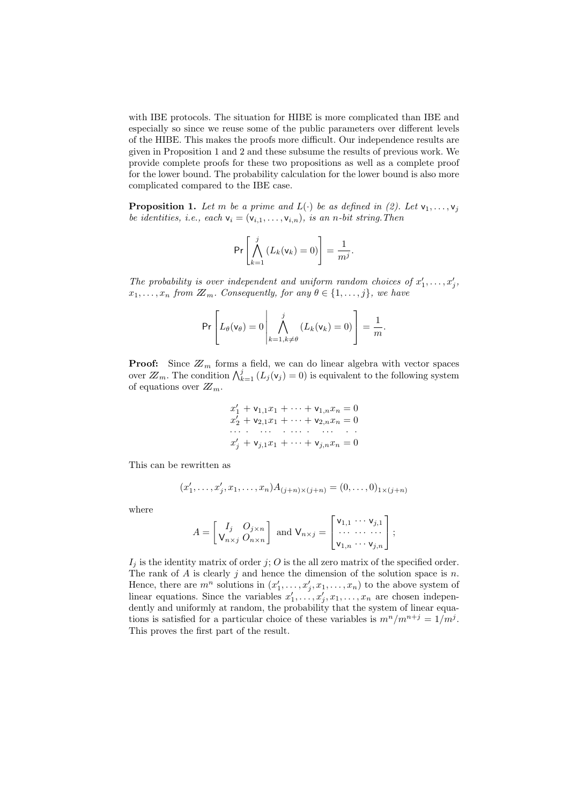with IBE protocols. The situation for HIBE is more complicated than IBE and especially so since we reuse some of the public parameters over different levels of the HIBE. This makes the proofs more difficult. Our independence results are given in Proposition 1 and 2 and these subsume the results of previous work. We provide complete proofs for these two propositions as well as a complete proof for the lower bound. The probability calculation for the lower bound is also more complicated compared to the IBE case.

**Proposition 1.** Let m be a prime and  $L(\cdot)$  be as defined in (2). Let  $v_1, \ldots, v_j$ be identities, i.e., each  $v_i = (v_{i,1}, \ldots, v_{i,n})$ , is an n-bit string. Then

$$
\Pr\left[\bigwedge_{k=1}^j \left(L_k(\mathsf{v}_k)=0\right)\right]=\frac{1}{m^j}.
$$

The probability is over independent and uniform random choices of  $x'_1, \ldots, x'_j$ ,  $x_1, \ldots, x_n$  from  $\mathbb{Z}_m$ . Consequently, for any  $\theta \in \{1, \ldots, j\}$ , we have

$$
\Pr\left[L_{\theta}(\mathsf{v}_{\theta})=0\middle|\bigwedge_{k=1,k\neq\theta}^{j}(L_{k}(\mathsf{v}_{k})=0)\right]=\frac{1}{m}.
$$

**Proof:** Since  $\mathbb{Z}_m$  forms a field, we can do linear algebra with vector spaces over  $\mathbb{Z}_m$ . The condition  $\bigwedge_{k=1}^j (L_j(\mathsf{v}_j) = 0)$  is equivalent to the following system of equations over  $\mathbb{Z}_m$ .

$$
x'_{1} + \mathbf{v}_{1,1}x_{1} + \cdots + \mathbf{v}_{1,n}x_{n} = 0
$$
  
\n
$$
x'_{2} + \mathbf{v}_{2,1}x_{1} + \cdots + \mathbf{v}_{2,n}x_{n} = 0
$$
  
\n... ... ... ...  
\n
$$
x'_{j} + \mathbf{v}_{j,1}x_{1} + \cdots + \mathbf{v}_{j,n}x_{n} = 0
$$

This can be rewritten as

$$
(x'_1, \ldots, x'_j, x_1, \ldots, x_n) A_{(j+n)\times (j+n)} = (0, \ldots, 0)_{1 \times (j+n)}
$$

where

$$
A = \begin{bmatrix} I_j & O_{j \times n} \\ V_{n \times j} & O_{n \times n} \end{bmatrix} \text{ and } V_{n \times j} = \begin{bmatrix} v_{1,1} & \cdots & v_{j,1} \\ \cdots & \cdots & \cdots \\ v_{1,n} & \cdots & v_{j,n} \end{bmatrix};
$$

 $I_j$  is the identity matrix of order j; O is the all zero matrix of the specified order. The rank of  $A$  is clearly  $j$  and hence the dimension of the solution space is  $n$ . Hence, there are  $m^n$  solutions in  $(x'_1, \ldots, x'_j, x_1, \ldots, x_n)$  to the above system of linear equations. Since the variables  $x'_1, \ldots, x'_j, x_1, \ldots, x_n$  are chosen independently and uniformly at random, the probability that the system of linear equations is satisfied for a particular choice of these variables is  $m^n/m^{n+j} = 1/m^j$ . This proves the first part of the result.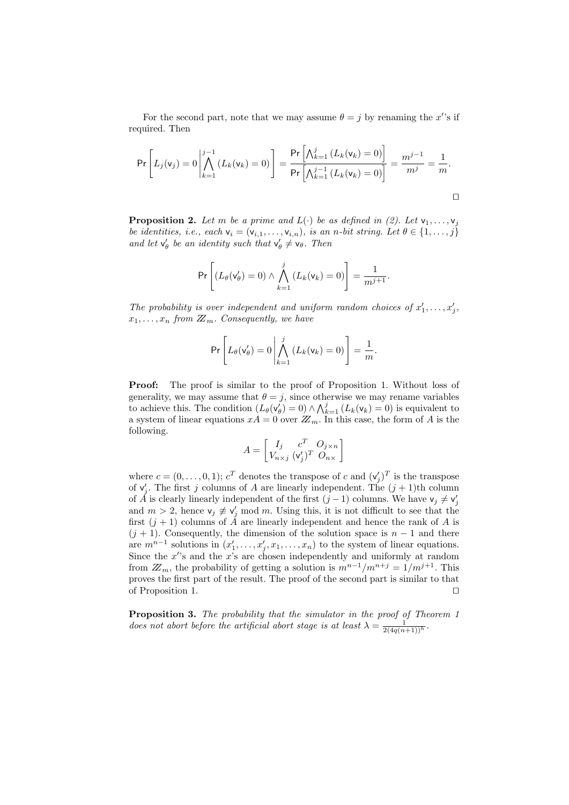For the second part, note that we may assume  $\theta = j$  by renaming the x's if required. Then

$$
\Pr\left[L_j(\mathsf{v}_j) = 0 \middle| \bigwedge_{k=1}^{j-1} (L_k(\mathsf{v}_k) = 0)\right] = \frac{\Pr\left[\bigwedge_{k=1}^j (L_k(\mathsf{v}_k) = 0)\right]}{\Pr\left[\bigwedge_{k=1}^{j-1} (L_k(\mathsf{v}_k) = 0)\right]} = \frac{m^{j-1}}{m^j} = \frac{1}{m}.
$$

**Proposition 2.** Let m be a prime and  $L(\cdot)$  be as defined in (2). Let  $v_1, \ldots, v_j$ be identities, i.e., each  $v_i = (v_{i,1}, \ldots, v_{i,n})$ , is an n-bit string. Let  $\theta \in \{1, \ldots, j\}$ and let  $v'_{\theta}$  be an identity such that  $v'_{\theta} \neq v_{\theta}$ . Then

$$
\Pr\left[\left(L_{\theta}(\mathsf{v}_{\theta}')=0\right) \wedge \bigwedge_{k=1}^{j} \left(L_{k}(\mathsf{v}_{k})=0\right)\right] = \frac{1}{m^{j+1}}.
$$

The probability is over independent and uniform random choices of  $x'_1, \ldots, x'_j$ ,  $x_1, \ldots, x_n$  from  $\mathbb{Z}_m$ . Consequently, we have

$$
\Pr\left[L_{\theta}(\mathsf{v}_{\theta}')=0\middle|\bigwedge_{k=1}^{j}\left(L_{k}(\mathsf{v}_{k})=0\right)\right]=\frac{1}{m}.
$$

Proof: The proof is similar to the proof of Proposition 1. Without loss of generality, we may assume that  $\theta = j$ , since otherwise we may rename variables to achieve this. The condition  $(L_{\theta}(\mathsf{v}'_{\theta})=0) \wedge \bigwedge_{k=1}^{j} (L_{k}(\mathsf{v}_{k})=0)$  is equivalent to a system of linear equations  $xA = 0$  over  $\mathbb{Z}_m$ . In this case, the form of A is the following.

$$
A = \begin{bmatrix} I_j & c^T & O_{j \times n} \\ V_{n \times j} & (V_j')^T & O_{n \times} \end{bmatrix}
$$

where  $c = (0, \ldots, 0, 1); c<sup>T</sup>$  denotes the transpose of c and  $(v'_j)^T$  is the transpose of  $v'_j$ . The first j columns of A are linearly independent. The  $(j + 1)$ th column of  $\check{A}$  is clearly linearly independent of the first  $(j-1)$  columns. We have  $v_j \neq v'_j$ and  $m > 2$ , hence  $v_j \not\equiv v'_j \mod m$ . Using this, it is not difficult to see that the first  $(j + 1)$  columns of  $\tilde{A}$  are linearly independent and hence the rank of  $A$  is  $(j + 1)$ . Consequently, the dimension of the solution space is  $n - 1$  and there are  $m^{n-1}$  solutions in  $(x'_1, \ldots, x'_j, x_1, \ldots, x_n)$  to the system of linear equations. Since the  $x$ 's and the  $x$ 's are chosen independently and uniformly at random from  $\mathbb{Z}_m$ , the probability of getting a solution is  $m^{n-1}/m^{n+j} = 1/m^{j+1}$ . This proves the first part of the result. The proof of the second part is similar to that of Proposition 1.  $\Box$ 

Proposition 3. The probability that the simulator in the proof of Theorem 1 does not abort before the artificial abort stage is at least  $\lambda = \frac{1}{2(4q(n+1))^h}$ .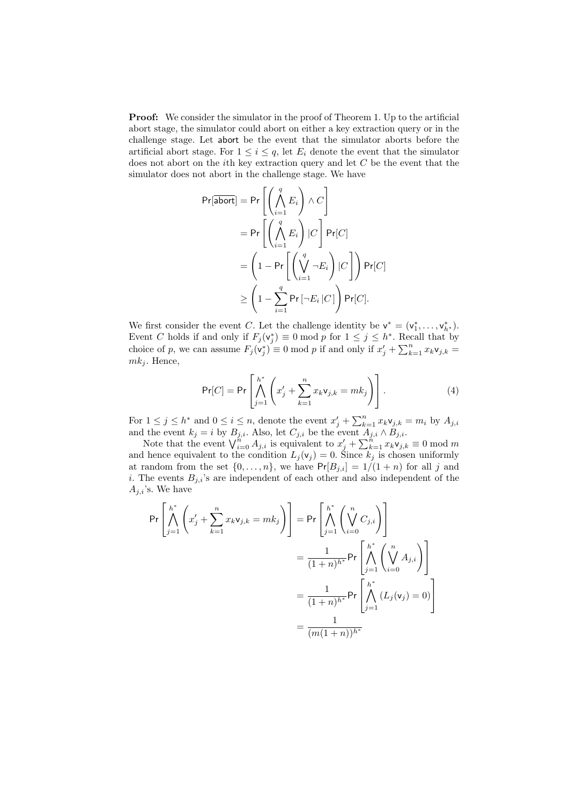**Proof:** We consider the simulator in the proof of Theorem 1. Up to the artificial abort stage, the simulator could abort on either a key extraction query or in the challenge stage. Let abort be the event that the simulator aborts before the artificial abort stage. For  $1 \leq i \leq q$ , let  $E_i$  denote the event that the simulator does not abort on the ith key extraction query and let C be the event that the simulator does not abort in the challenge stage. We have

$$
Pr[\overline{abort}] = Pr\left[\left(\bigwedge_{i=1}^{q} E_i\right) \wedge C\right]
$$
  
= Pr\left[\left(\bigwedge\_{i=1}^{q} E\_i\right) | C\right] Pr[C]  
= 
$$
\left(1 - Pr\left[\left(\bigvee_{i=1}^{q} \neg E_i\right) | C\right]\right) Pr[C]
$$
  

$$
\geq \left(1 - \sum_{i=1}^{q} Pr\left[\neg E_i | C\right]\right) Pr[C].
$$

We first consider the event C. Let the challenge identity be  $v^* = (v_1^*, \ldots, v_{h^*}^*)$ . Event C holds if and only if  $F_j(v_j^*) \equiv 0 \mod p$  for  $1 \le j \le h^*$ . Recall that by choice of p, we can assume  $F_j(\mathbf{v}_j^*) \equiv 0 \mod p$  if and only if  $x'_j + \sum_{k=1}^n x_k \mathbf{v}_{j,k} =$  $mk<sub>i</sub>$ . Hence,

$$
\Pr[C] = \Pr\left[\bigwedge_{j=1}^{h^*} \left(x'_j + \sum_{k=1}^n x_k \mathsf{v}_{j,k} = mk_j\right)\right].\tag{4}
$$

For  $1 \leq j \leq h^*$  and  $0 \leq i \leq n$ , denote the event  $x'_j + \sum_{k=1}^n x_k \mathsf{v}_{j,k} = m_i$  by  $A_{j,i}$ and the event  $k_j = i$  by  $B_{j,i}$ . Also, let  $C_{j,i}$  be the event  $A_{j,i} \wedge B_{j,i}$ .

Note that the event  $\bigvee_{i=0}^{n} A_{j,i}$  is equivalent to  $x'_{j} + \sum_{k=1}^{n} x_{k} \mathsf{v}_{j,k} \equiv 0 \bmod m$ and hence equivalent to the condition  $L_j(\mathsf{v}_j) = 0$ . Since  $k_j$  is chosen uniformly at random from the set  $\{0, \ldots, n\}$ , we have  $Pr[B_{j,i}] = 1/(1+n)$  for all j and i. The events  $B_{j,i}$ 's are independent of each other and also independent of the  $A_{j,i}$ 's. We have

$$
\Pr\left[\bigwedge_{j=1}^{h^*} \left(x'_j + \sum_{k=1}^n x_k \mathbf{v}_{j,k} = mk_j\right)\right] = \Pr\left[\bigwedge_{j=1}^{h^*} \left(\bigvee_{i=0}^n C_{j,i}\right)\right]
$$

$$
= \frac{1}{(1+n)^{h^*}} \Pr\left[\bigwedge_{i=0}^{h^*} \left(\bigvee_{i=0}^n A_{j,i}\right)\right]
$$

$$
= \frac{1}{(1+n)^{h^*}} \Pr\left[\bigwedge_{j=1}^{h^*} \left(L_j(\mathbf{v}_j) = 0\right)\right]
$$

$$
= \frac{1}{(m(1+n))^{h^*}}
$$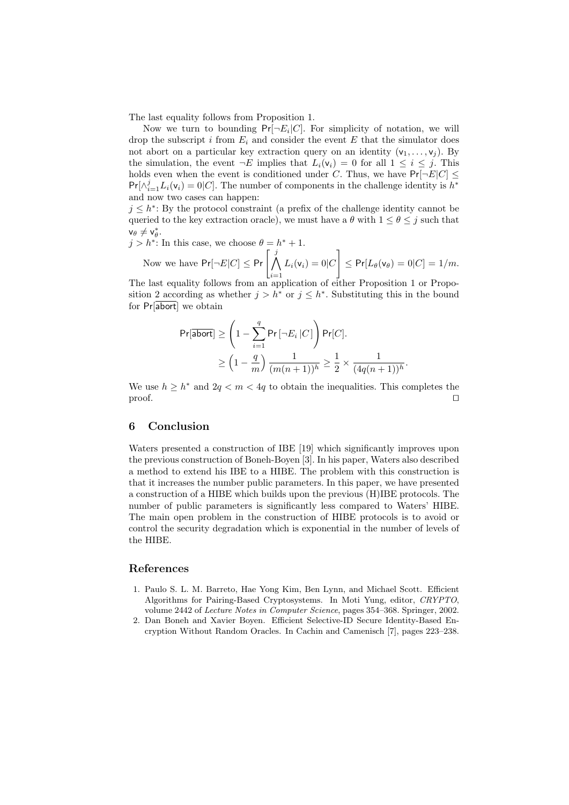The last equality follows from Proposition 1.

Now we turn to bounding  $Pr[\neg E_i | C]$ . For simplicity of notation, we will drop the subscript  $i$  from  $E_i$  and consider the event  $E$  that the simulator does not abort on a particular key extraction query on an identity  $(v_1, \ldots, v_j)$ . By the simulation, the event  $\neg E$  implies that  $L_i(\mathsf{v}_i) = 0$  for all  $1 \leq i \leq j$ . This holds even when the event is conditioned under C. Thus, we have  $Pr[\neg E|C] \le$  $Pr[\wedge_{i=1}^{j} L_i(\mathsf{v}_i) = 0|C]$ . The number of components in the challenge identity is  $h^*$ and now two cases can happen:

 $j \leq h^*$ : By the protocol constraint (a prefix of the challenge identity cannot be queried to the key extraction oracle), we must have a  $\theta$  with  $1 \leq \theta \leq j$  such that  $v_{\theta} \neq v_{\theta}^*$ .

 $j > h^*$ : In this case, we choose  $\theta = h^* + 1$ . : In this case, we choose  $\theta = h$ 

Now we have  $Pr[\neg E|C] \leq Pr\left[\bigwedge^j$  $i=1$  $L_i(\mathsf{v}_i) = 0|C$ 1  $\leq \Pr[L_{\theta}(\mathsf{v}_{\theta})=0|C]=1/m.$ 

The last equality follows from an application of either Proposition 1 or Proposition 2 according as whether  $j > h^*$  or  $j \leq h^*$ . Substituting this in the bound for Pr[abort] we obtain

$$
\begin{aligned} \Pr[\overline{\mathsf{abort}}] &\geq \left(1 - \sum_{i=1}^q \Pr\left[\neg E_i | C \right] \right) \Pr[C]. \\ &\geq \left(1 - \frac{q}{m}\right) \frac{1}{(m(n+1))^h} \geq \frac{1}{2} \times \frac{1}{(4q(n+1))^h}. \end{aligned}
$$

We use  $h \geq h^*$  and  $2q < m < 4q$  to obtain the inequalities. This completes the  $\Box$  proof.

### 6 Conclusion

Waters presented a construction of IBE [19] which significantly improves upon the previous construction of Boneh-Boyen [3]. In his paper, Waters also described a method to extend his IBE to a HIBE. The problem with this construction is that it increases the number public parameters. In this paper, we have presented a construction of a HIBE which builds upon the previous (H)IBE protocols. The number of public parameters is significantly less compared to Waters' HIBE. The main open problem in the construction of HIBE protocols is to avoid or control the security degradation which is exponential in the number of levels of the HIBE.

### References

- 1. Paulo S. L. M. Barreto, Hae Yong Kim, Ben Lynn, and Michael Scott. Efficient Algorithms for Pairing-Based Cryptosystems. In Moti Yung, editor, CRYPTO, volume 2442 of Lecture Notes in Computer Science, pages 354–368. Springer, 2002.
- 2. Dan Boneh and Xavier Boyen. Efficient Selective-ID Secure Identity-Based Encryption Without Random Oracles. In Cachin and Camenisch [7], pages 223–238.